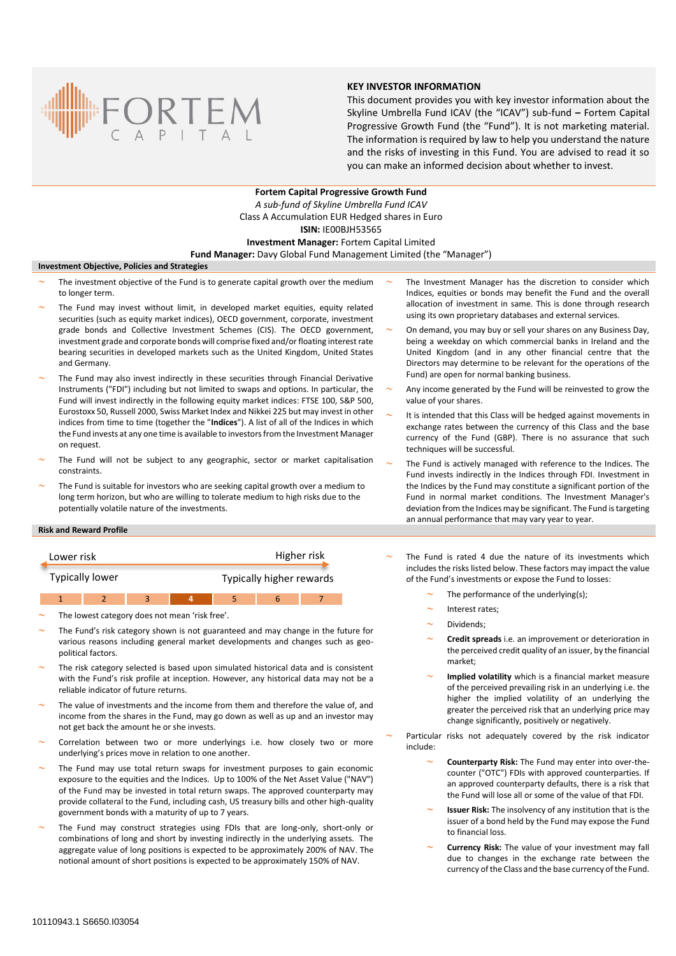

## **KEY INVESTOR INFORMATION**

This document provides you with key investor information about the Skyline Umbrella Fund ICAV (the "ICAV") sub-fund **–** Fortem Capital Progressive Growth Fund (the "Fund"). It is not marketing material. The information is required by law to help you understand the nature and the risks of investing in this Fund. You are advised to read it so you can make an informed decision about whether to invest.

**Fortem Capital Progressive Growth Fund** *A sub-fund of Skyline Umbrella Fund ICAV* Class A Accumulation EUR Hedged shares in Euro **ISIN:** IE00BJH53565 **Investment Manager:** Fortem Capital Limited **Fund Manager:** Davy Global Fund Management Limited (the "Manager")

# **Investment Objective, Policies and Strategies**

- The investment objective of the Fund is to generate capital growth over the medium to longer term.
- The Fund may invest without limit, in developed market equities, equity related securities (such as equity market indices), OECD government, corporate, investment grade bonds and Collective Investment Schemes (CIS). The OECD government, investment grade and corporate bonds will comprise fixed and/or floating interest rate bearing securities in developed markets such as the United Kingdom, United States and Germany.
- The Fund may also invest indirectly in these securities through Financial Derivative Instruments ("FDI") including but not limited to swaps and options. In particular, the Fund will invest indirectly in the following equity market indices: FTSE 100, S&P 500, Eurostoxx 50, Russell 2000, Swiss Market Index and Nikkei 225 but may invest in other indices from time to time (together the "**Indices**"). A list of all of the Indices in which the Fund invests at any one time is available to investors from the Investment Manager on request.
- The Fund will not be subject to any geographic, sector or market capitalisation constraints.
- The Fund is suitable for investors who are seeking capital growth over a medium to long term horizon, but who are willing to tolerate medium to high risks due to the potentially volatile nature of the investments.
- The Investment Manager has the discretion to consider which Indices, equities or bonds may benefit the Fund and the overall allocation of investment in same. This is done through research using its own proprietary databases and external services.
- On demand, you may buy or sell your shares on any Business Day, being a weekday on which commercial banks in Ireland and the United Kingdom (and in any other financial centre that the Directors may determine to be relevant for the operations of the Fund) are open for normal banking business.
- Any income generated by the Fund will be reinvested to grow the value of your shares.
- It is intended that this Class will be hedged against movements in exchange rates between the currency of this Class and the base currency of the Fund (GBP). There is no assurance that such techniques will be successful.
- The Fund is actively managed with reference to the Indices. The Fund invests indirectly in the Indices through FDI. Investment in the Indices by the Fund may constitute a significant portion of the Fund in normal market conditions. The Investment Manager's deviation from the Indices may be significant. The Fund is targeting an annual performance that may vary year to year.

### **Risk and Reward Profile**

| Lower risk             |  |  |                                 | Higher risk |  |  |
|------------------------|--|--|---------------------------------|-------------|--|--|
| <b>Typically lower</b> |  |  | <b>Typically higher rewards</b> |             |  |  |
|                        |  |  |                                 |             |  |  |

1 2 3 **4** 5 6 7

The lowest category does not mean 'risk free'.

- The Fund's risk category shown is not guaranteed and may change in the future for various reasons including general market developments and changes such as geopolitical factors.
- The risk category selected is based upon simulated historical data and is consistent with the Fund's risk profile at inception. However, any historical data may not be a reliable indicator of future returns.
- The value of investments and the income from them and therefore the value of, and income from the shares in the Fund, may go down as well as up and an investor may not get back the amount he or she invests.
- Correlation between two or more underlyings i.e. how closely two or more underlying's prices move in relation to one another.
- The Fund may use total return swaps for investment purposes to gain economic exposure to the equities and the Indices. Up to 100% of the Net Asset Value ("NAV") of the Fund may be invested in total return swaps. The approved counterparty may provide collateral to the Fund, including cash, US treasury bills and other high-quality government bonds with a maturity of up to 7 years.
- The Fund may construct strategies using FDIs that are long-only, short-only or combinations of long and short by investing indirectly in the underlying assets. The aggregate value of long positions is expected to be approximately 200% of NAV. The notional amount of short positions is expected to be approximately 150% of NAV.
- The Fund is rated 4 due the nature of its investments which includes the risks listed below. These factors may impact the value of the Fund's investments or expose the Fund to losses:
	- The performance of the underlying(s);
		- Interest rates;
	- Dividends;
	- **Credit spreads** i.e. an improvement or deterioration in the perceived credit quality of an issuer, by the financial market;
	- **Implied volatility** which is a financial market measure of the perceived prevailing risk in an underlying i.e. the higher the implied volatility of an underlying the greater the perceived risk that an underlying price may change significantly, positively or negatively.

 Particular risks not adequately covered by the risk indicator include:

- **Counterparty Risk:** The Fund may enter into over-thecounter ("OTC") FDIs with approved counterparties. If an approved counterparty defaults, there is a risk that the Fund will lose all or some of the value of that FDI.
- **Issuer Risk:** The insolvency of any institution that is the issuer of a bond held by the Fund may expose the Fund to financial loss.
- **Currency Risk:** The value of your investment may fall due to changes in the exchange rate between the currency of the Class and the base currency of the Fund.